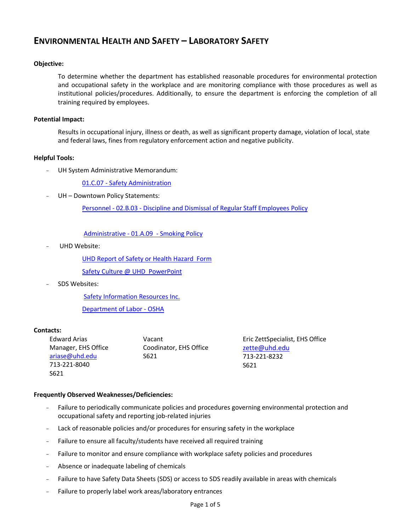## **ENVIRONMENTAL HEALTH AND SAFETY – LABORATORY SAFETY**

## **Objective:**

To determine whether the department has established reasonable procedures for environmental protection and occupational safety in the workplace and are monitoring compliance with those procedures as well as institutional policies/procedures. Additionally, to ensure the department is enforcing the completion of all training required by employees.

## **Potential Impact:**

Results in occupational injury, illness or death, as well as significant property damage, violation of local, state and federal laws, fines from regulatory enforcement action and negative publicity.

## **Helpful Tools:**

- UH System Administrative Memorandum:

01.C.07 - [Safety Administration](http://www.uhsa.uh.edu/sam/1GenAdmin/1C7.pdf)

UH - Downtown Policy Statements:

Personnel - 02.B.03 - [Discipline and Dismissal of Regular Staff Employees Policy](http://www.uhd.edu/about/hr/PS02B03.pdf)

[Administrative -](file:///C:/Documents%20and%20Settings/cookm/Local%20Settings/Temporary%20Internet%20Files/Content.Outlook/UHD%20Policies/PS01A09%20-%20Smoking.pdf) 01.A.09 - Smoking Policy

UHD Website:

[UHD Report of Safety or Health Hazard Form](file://hawaii.uhd.campus/rmc$/eh&s/EHS%20Forms%20&%20Manuals/EHS%20Forms/Report%20of%20Safety%20or%20Health%20Hazard--Interactive.pdf)

[Safety Culture @ UHD PowerPoint](file:///C:/Documents%20and%20Settings/cookm/My%20Documents/Devstaging/facultyandstaff/compliance/documents/SafetyCultureatUHD.pptx)

- SDS Websites:

[Safety Information Resources Inc.](http://hazard.com/msds/index.php) 

[Department of Labor -](http://www.osha.gov/web/dep/chemicaldata/#target) OSHA

## **Contacts:**

Edward Arias Manager, EHS Office [ariase@uhd.edu](mailto:ariase@uhd.edu) 713-221-8040 S621

Vacant Coodinator, EHS Office S621

Eric ZettSpecialist, EHS Office [zette@uhd.edu](mailto:zette@uhd.edu) 713-221-8232 S621

## **Frequently Observed Weaknesses/Deficiencies:**

- Failure to periodically communicate policies and procedures governing environmental protection and occupational safety and reporting job-related injuries
- Lack of reasonable policies and/or procedures for ensuring safety in the workplace
- Failure to ensure all faculty/students have received all required training
- Failure to monitor and ensure compliance with workplace safety policies and procedures
- Absence or inadequate labeling of chemicals
- Failure to have Safety Data Sheets (SDS) or access to SDS readily available in areas with chemicals
- Failure to properly label work areas/laboratory entrances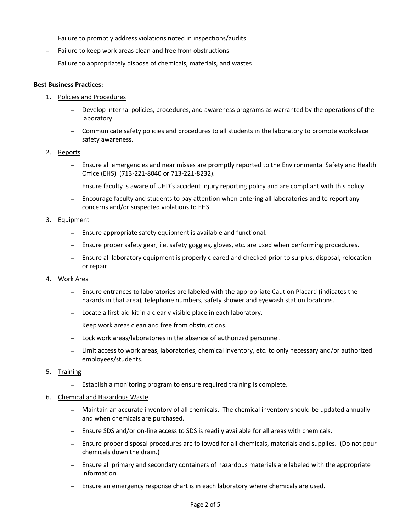- Failure to promptly address violations noted in inspections/audits
- Failure to keep work areas clean and free from obstructions
- Failure to appropriately dispose of chemicals, materials, and wastes

#### **Best Business Practices:**

- 1. Policies and Procedures
	- *–* Develop internal policies, procedures, and awareness programs as warranted by the operations of the laboratory.
	- *–* Communicate safety policies and procedures to all students in the laboratory to promote workplace safety awareness.

#### 2. Reports

- *–* Ensure all emergencies and near misses are promptly reported to the Environmental Safety and Health Office (EHS) (713-221-8040 or 713-221-8232).
- *–* Ensure faculty is aware of UHD's accident injury reporting policy and are compliant with this policy.
- *–* Encourage faculty and students to pay attention when entering all laboratories and to report any concerns and/or suspected violations to EHS.

#### 3. Equipment

- *–* Ensure appropriate safety equipment is available and functional.
- *–* Ensure proper safety gear, i.e. safety goggles, gloves, etc. are used when performing procedures.
- *–* Ensure all laboratory equipment is properly cleared and checked prior to surplus, disposal, relocation or repair.

#### 4. Work Area

- *–* Ensure entrances to laboratories are labeled with the appropriate Caution Placard (indicates the hazards in that area), telephone numbers, safety shower and eyewash station locations.
- *–* Locate a first-aid kit in a clearly visible place in each laboratory.
- *–* Keep work areas clean and free from obstructions.
- *–* Lock work areas/laboratories in the absence of authorized personnel.
- *–* Limit access to work areas, laboratories, chemical inventory, etc. to only necessary and/or authorized employees/students.

#### 5. Training

*–* Establish a monitoring program to ensure required training is complete.

#### 6. Chemical and Hazardous Waste

- *–* Maintain an accurate inventory of all chemicals. The chemical inventory should be updated annually and when chemicals are purchased.
- *–* Ensure SDS and/or on-line access to SDS is readily available for all areas with chemicals.
- *–* Ensure proper disposal procedures are followed for all chemicals, materials and supplies. (Do not pour chemicals down the drain.)
- *–* Ensure all primary and secondary containers of hazardous materials are labeled with the appropriate information.
- *–* Ensure an emergency response chart is in each laboratory where chemicals are used.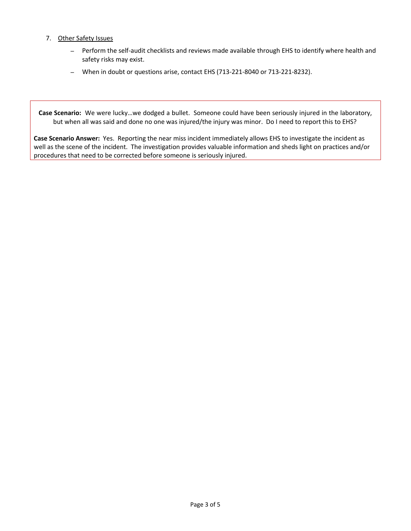## 7. Other Safety Issues

- *–* Perform the self-audit checklists and reviews made available through EHS to identify where health and safety risks may exist.
- *–* When in doubt or questions arise, contact EHS (713-221-8040 or 713-221-8232).

**Case Scenario:** We were lucky…we dodged a bullet. Someone could have been seriously injured in the laboratory, but when all was said and done no one was injured/the injury was minor. Do I need to report this to EHS?

**Case Scenario Answer:** Yes. Reporting the near miss incident immediately allows EHS to investigate the incident as well as the scene of the incident. The investigation provides valuable information and sheds light on practices and/or procedures that need to be corrected before someone is seriously injured.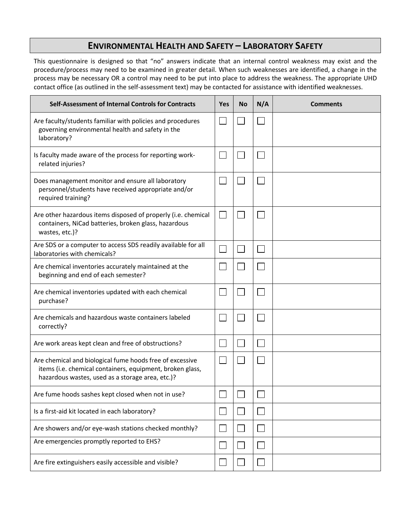# **ENVIRONMENTAL HEALTH AND SAFETY – LABORATORY SAFETY**

This questionnaire is designed so that "no" answers indicate that an internal control weakness may exist and the procedure/process may need to be examined in greater detail. When such weaknesses are identified, a change in the process may be necessary OR a control may need to be put into place to address the weakness. The appropriate UHD contact office (as outlined in the self-assessment text) may be contacted for assistance with identified weaknesses.

| Self-Assessment of Internal Controls for Contracts                                                                                                                        | <b>Yes</b> | <b>No</b> | N/A | <b>Comments</b> |
|---------------------------------------------------------------------------------------------------------------------------------------------------------------------------|------------|-----------|-----|-----------------|
| Are faculty/students familiar with policies and procedures<br>governing environmental health and safety in the<br>laboratory?                                             |            |           |     |                 |
| Is faculty made aware of the process for reporting work-<br>related injuries?                                                                                             |            |           |     |                 |
| Does management monitor and ensure all laboratory<br>personnel/students have received appropriate and/or<br>required training?                                            |            |           |     |                 |
| Are other hazardous items disposed of properly (i.e. chemical<br>containers, NiCad batteries, broken glass, hazardous<br>wastes, etc.)?                                   |            |           |     |                 |
| Are SDS or a computer to access SDS readily available for all<br>laboratories with chemicals?                                                                             |            |           |     |                 |
| Are chemical inventories accurately maintained at the<br>beginning and end of each semester?                                                                              |            |           |     |                 |
| Are chemical inventories updated with each chemical<br>purchase?                                                                                                          |            |           |     |                 |
| Are chemicals and hazardous waste containers labeled<br>correctly?                                                                                                        |            |           |     |                 |
| Are work areas kept clean and free of obstructions?                                                                                                                       |            |           |     |                 |
| Are chemical and biological fume hoods free of excessive<br>items (i.e. chemical containers, equipment, broken glass,<br>hazardous wastes, used as a storage area, etc.)? |            |           |     |                 |
| Are fume hoods sashes kept closed when not in use?                                                                                                                        |            |           |     |                 |
| Is a first-aid kit located in each laboratory?                                                                                                                            |            |           |     |                 |
| Are showers and/or eye-wash stations checked monthly?                                                                                                                     |            |           |     |                 |
| Are emergencies promptly reported to EHS?                                                                                                                                 |            |           |     |                 |
| Are fire extinguishers easily accessible and visible?                                                                                                                     |            |           |     |                 |